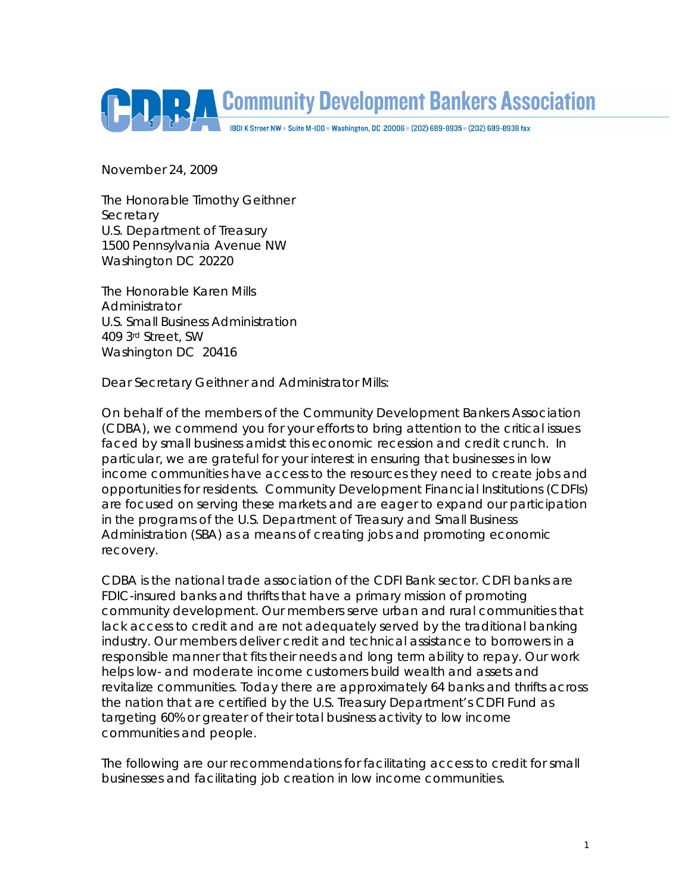

November 24, 2009

The Honorable Timothy Geithner **Secretary** U.S. Department of Treasury 1500 Pennsylvania Avenue NW Washington DC 20220

The Honorable Karen Mills Administrator U.S. Small Business Administration 409 3rd Street, SW Washington DC 20416

Dear Secretary Geithner and Administrator Mills:

On behalf of the members of the Community Development Bankers Association (CDBA), we commend you for your efforts to bring attention to the critical issues faced by small business amidst this economic recession and credit crunch. In particular, we are grateful for your interest in ensuring that businesses in low income communities have access to the resources they need to create jobs and opportunities for residents. Community Development Financial Institutions (CDFIs) are focused on serving these markets and are eager to expand our participation in the programs of the U.S. Department of Treasury and Small Business Administration (SBA) as a means of creating jobs and promoting economic recovery.

CDBA is the national trade association of the CDFI Bank sector. CDFI banks are FDIC-insured banks and thrifts that have a primary mission of promoting community development. Our members serve urban and rural communities that lack access to credit and are not adequately served by the traditional banking industry. Our members deliver credit and technical assistance to borrowers in a responsible manner that fits their needs and long term ability to repay. Our work helps low- and moderate income customers build wealth and assets and revitalize communities. Today there are approximately 64 banks and thrifts across the nation that are certified by the U.S. Treasury Department's CDFI Fund as targeting 60% or greater of their total business activity to low income communities and people.

The following are our recommendations for facilitating access to credit for small businesses and facilitating job creation in low income communities.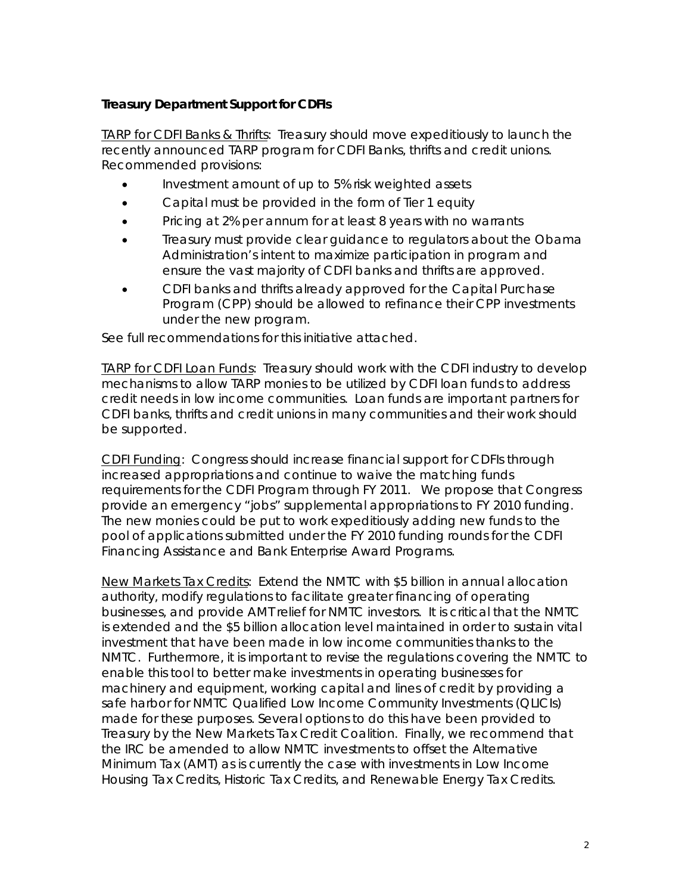## **Treasury Department Support for CDFIs**

TARP for CDFI Banks & Thrifts: Treasury should move expeditiously to launch the recently announced TARP program for CDFI Banks, thrifts and credit unions. Recommended provisions:

- Investment amount of up to 5% risk weighted assets
- Capital must be provided in the form of Tier 1 equity
- Pricing at 2% per annum for at least 8 years with no warrants
- Treasury must provide clear guidance to regulators about the Obama Administration's intent to maximize participation in program and ensure the vast majority of CDFI banks and thrifts are approved.
- CDFI banks and thrifts already approved for the Capital Purchase Program (CPP) should be allowed to refinance their CPP investments under the new program.

See full recommendations for this initiative attached.

TARP for CDFI Loan Funds: Treasury should work with the CDFI industry to develop mechanisms to allow TARP monies to be utilized by CDFI loan funds to address credit needs in low income communities. Loan funds are important partners for CDFI banks, thrifts and credit unions in many communities and their work should be supported.

CDFI Funding: Congress should increase financial support for CDFIs through increased appropriations and continue to waive the matching funds requirements for the CDFI Program through FY 2011. We propose that Congress provide an emergency "jobs" supplemental appropriations to FY 2010 funding. The new monies could be put to work expeditiously adding new funds to the pool of applications submitted under the FY 2010 funding rounds for the CDFI Financing Assistance and Bank Enterprise Award Programs.

New Markets Tax Credits: Extend the NMTC with \$5 billion in annual allocation authority, modify regulations to facilitate greater financing of operating businesses, and provide AMT relief for NMTC investors. It is critical that the NMTC is extended and the \$5 billion allocation level maintained in order to sustain vital investment that have been made in low income communities thanks to the NMTC. Furthermore, it is important to revise the regulations covering the NMTC to enable this tool to better make investments in operating businesses for machinery and equipment, working capital and lines of credit by providing a safe harbor for NMTC Qualified Low Income Community Investments (QLICIs) made for these purposes. Several options to do this have been provided to Treasury by the New Markets Tax Credit Coalition. Finally, we recommend that the IRC be amended to allow NMTC investments to offset the Alternative Minimum Tax (AMT) as is currently the case with investments in Low Income Housing Tax Credits, Historic Tax Credits, and Renewable Energy Tax Credits.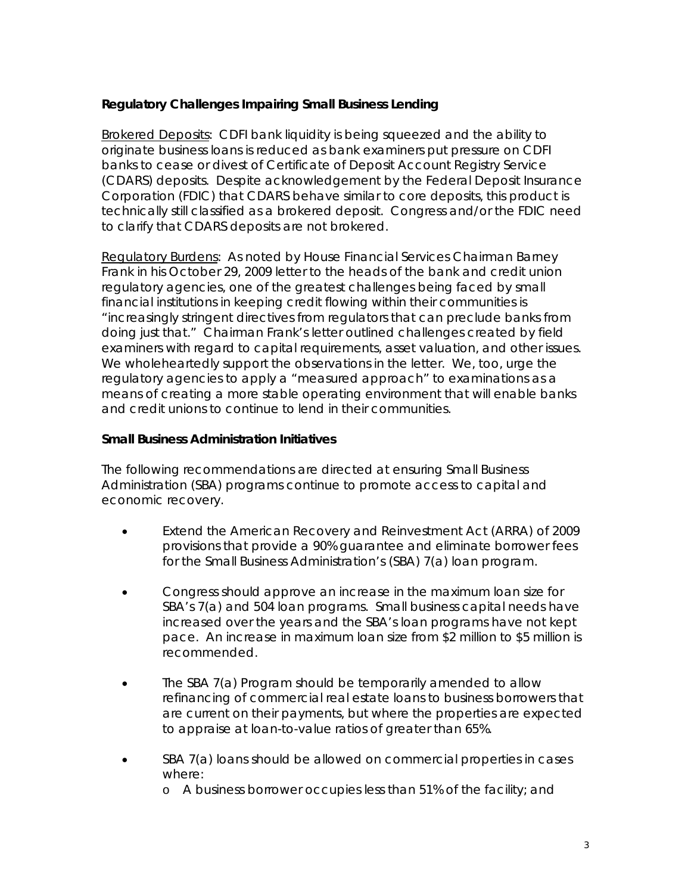## **Regulatory Challenges Impairing Small Business Lending**

Brokered Deposits: CDFI bank liquidity is being squeezed and the ability to originate business loans is reduced as bank examiners put pressure on CDFI banks to cease or divest of Certificate of Deposit Account Registry Service (CDARS) deposits. Despite acknowledgement by the Federal Deposit Insurance Corporation (FDIC) that CDARS behave similar to core deposits, this product is technically still classified as a brokered deposit. Congress and/or the FDIC need to clarify that CDARS deposits are not brokered.

Regulatory Burdens: As noted by House Financial Services Chairman Barney Frank in his October 29, 2009 letter to the heads of the bank and credit union regulatory agencies, one of the greatest challenges being faced by small financial institutions in keeping credit flowing within their communities is "increasingly stringent directives from regulators that can preclude banks from doing just that." Chairman Frank's letter outlined challenges created by field examiners with regard to capital requirements, asset valuation, and other issues. We wholeheartedly support the observations in the letter. We, too, urge the regulatory agencies to apply a "measured approach" to examinations as a means of creating a more stable operating environment that will enable banks and credit unions to continue to lend in their communities.

## **Small Business Administration Initiatives**

The following recommendations are directed at ensuring Small Business Administration (SBA) programs continue to promote access to capital and economic recovery.

- Extend the American Recovery and Reinvestment Act (ARRA) of 2009 provisions that provide a 90% guarantee and eliminate borrower fees for the Small Business Administration's (SBA) 7(a) loan program.
- Congress should approve an increase in the maximum loan size for SBA's 7(a) and 504 loan programs. Small business capital needs have increased over the years and the SBA's loan programs have not kept pace. An increase in maximum loan size from \$2 million to \$5 million is recommended.
- The SBA 7(a) Program should be temporarily amended to allow refinancing of commercial real estate loans to business borrowers that are current on their payments, but where the properties are expected to appraise at loan-to-value ratios of greater than 65%.
- SBA 7(a) loans should be allowed on commercial properties in cases where:
	- o A business borrower occupies less than 51% of the facility; and